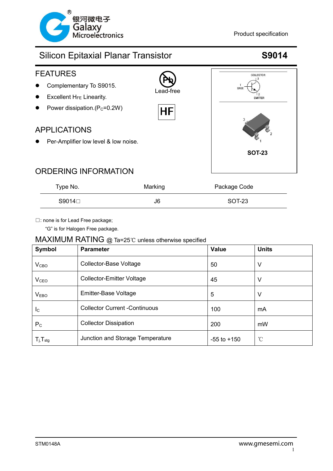





| Type No. | Marking | Package Code |  |
|----------|---------|--------------|--|
| S9014□   | J6      | SOT-23       |  |

□: none is for Lead Free package;

"G" is for Halogen Free package.

### MAXIMUM RATING @ Ta=25℃ unless otherwise specified

| Symbol                     | <b>Parameter</b>                     | <b>Value</b>    | <b>Units</b> |
|----------------------------|--------------------------------------|-----------------|--------------|
| V <sub>CBO</sub>           | Collector-Base Voltage               | 50              | V            |
| <b>V<sub>CEO</sub></b>     | <b>Collector-Emitter Voltage</b>     | 45              | V            |
| V <sub>EBO</sub>           | Emitter-Base Voltage                 | 5               | V            |
| $I_{\rm C}$                | <b>Collector Current -Continuous</b> | 100             | mA           |
| $P_{\rm C}$                | <b>Collector Dissipation</b>         | 200             | mW           |
| $T_{j}$ , $T_{\text{stg}}$ | Junction and Storage Temperature     | $-55$ to $+150$ | °C           |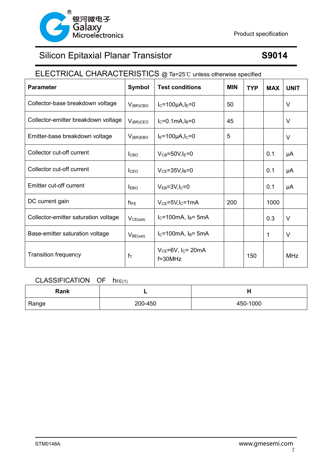

## ELECTRICAL CHARACTERISTICS @ Ta=25℃ unless otherwise specified

| <b>Parameter</b>                     | <b>Symbol</b>    | <b>Test conditions</b>                                | <b>MIN</b> | <b>TYP</b> | <b>MAX</b>   | <b>UNIT</b> |
|--------------------------------------|------------------|-------------------------------------------------------|------------|------------|--------------|-------------|
| Collector-base breakdown voltage     | $V_{(BR)CBO}$    | $I_C = 100 \mu A, I_E = 0$                            | 50         |            |              | V           |
| Collector-emitter breakdown voltage  | $V_{(BR)CEO}$    | $I_C = 0.1mA, I_B = 0$                                | 45         |            |              | V           |
| Emitter-base breakdown voltage       | $V_{(BR)EBO}$    | $I_{E} = 100 \mu A, I_{C} = 0$                        | 5          |            |              | $\vee$      |
| Collector cut-off current            | I <sub>CBO</sub> | $V_{CB} = 50V, I_E = 0$                               |            |            | 0.1          | μA          |
| Collector cut-off current            | I <sub>CEO</sub> | $V_{CE} = 35V, I_B = 0$                               |            |            | 0.1          | μA          |
| Emitter cut-off current              | <b>EBO</b>       | $V_{EB} = 3V, I_C = 0$                                |            |            | 0.1          | μA          |
| DC current gain                      | $h_{FE}$         | $V_{CE}$ =5V, I <sub>C</sub> =1mA                     | 200        |            | 1000         |             |
| Collector-emitter saturation voltage | $V_{CE(sat)}$    | $I_C = 100$ mA, $I_B = 5$ mA                          |            |            | 0.3          | V           |
| Base-emitter saturation voltage      | $V_{BE(sat)}$    | $I_C = 100 \text{mA}$ , $I_B = 5 \text{mA}$           |            |            | $\mathbf{1}$ | $\vee$      |
| <b>Transition frequency</b>          | $f_T$            | $V_{CE} = 6V$ , I <sub>C</sub> = 20mA<br>$f = 30$ MHz |            | 150        |              | <b>MHz</b>  |

### CLASSIFICATION OF  $h_{FE(1)}$

| Rank  |         | . .      |
|-------|---------|----------|
| Range | 200-450 | 450-1000 |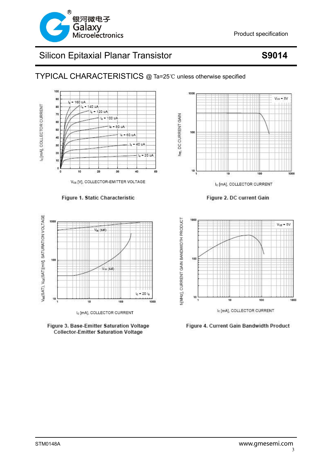

TYPICAL CHARACTERISTICS @ Ta=25℃ unless otherwise specified



### Figure 1. Static Characteristic



I<sub>c</sub> [mA], COLLECTOR CURRENT



1000  $V_{\text{CE}}$  = 5V DC CURRENT GAIN 100 Ě  $10^{-1}$  $100$ 1000 10 I<sub>c</sub> [mA], COLLECTOR CURRENT

Figure 2. DC current Gain



Figure 4. Current Gain Bandwidth Product